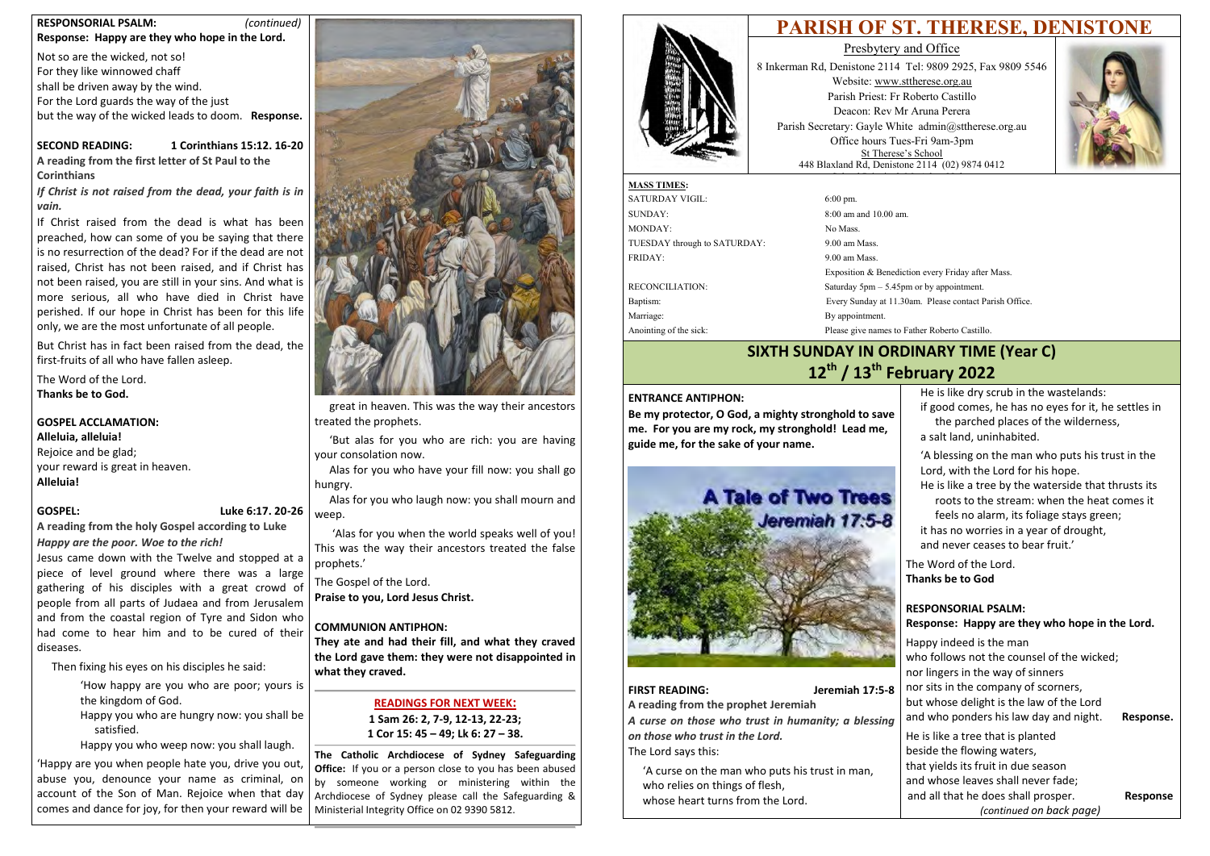# **PARISH OF ST. THERESE, DENISTONE**



Presbytery and Office 8 Inkerman Rd, Denistone 2114 Tel: 9809 2925, Fax 9809 5546 Website: [www.sttherese.org.au](http://www.sttherese.org.au/) Parish Priest: Fr Roberto Castillo Deacon: Rev Mr Aruna Perera Parish Secretary: Gayle White admin@sttherese.org.au Office hours Tues-Fri 9am-3pm St Therese's School 448 Blaxland Rd, Denistone 2114 (02) 9874 0412

| <b>MASS TIMES:</b>                              |                                                            |  |  |
|-------------------------------------------------|------------------------------------------------------------|--|--|
| <b>SATURDAY VIGIL:</b>                          | $6:00 \text{ pm}$ .                                        |  |  |
| SUNDAY:                                         | $8:00$ am and $10.00$ am.                                  |  |  |
| MONDAY:                                         | No Mass.                                                   |  |  |
| TUESDAY through to SATURDAY:                    | $9.00$ am Mass.                                            |  |  |
| FRIDAY:                                         | $9.00$ am Mass.                                            |  |  |
|                                                 | Exposition & Benediction every Friday after Mass.          |  |  |
| <b>RECONCILIATION:</b>                          | Saturday $5 \text{pm} - 5.45 \text{pm}$ or by appointment. |  |  |
| Baptism:                                        | Every Sunday at 11.30am. Please contact Parish Office.     |  |  |
| Marriage:                                       | By appointment.                                            |  |  |
| Anointing of the sick:                          | Please give names to Father Roberto Castillo.              |  |  |
| $\mathbf{A}$ avere annie avere are $\mathbf{A}$ |                                                            |  |  |

# **SIXTH SUNDAY IN ORDINARY TIME (Year C)**

# **12th / 13th February 2022**

### **ENTRANCE ANTIPHON:**

**Be my protector, O God, a mighty stronghold to save me. For you are my rock, my stronghold! Lead me, guide me, for the sake of your name.**



### **FIRST READING: Jeremiah 17:5-8**

**A reading from the prophet Jeremiah** *A curse on those who trust in humanity; a blessing on those who trust in the Lord.* The Lord says this:

'A curse on the man who puts his trust in man, who relies on things of flesh, whose heart turns from the Lord.

He is like dry scrub in the wastelands: if good comes, he has no eyes for it, he settles in the parched places of the wilderness, a salt land, uninhabited.

'A blessing on the man who puts his trust in the Lord, with the Lord for his hope.

He is like a tree by the waterside that thrusts its roots to the stream: when the heat comes it feels no alarm, its foliage stays green; it has no worries in a year of drought,

and never ceases to bear fruit.'

The Word of the Lord. **Thanks be to God**

### **RESPONSORIAL PSALM:**

**Response: Happy are they who hope in the Lord.**

Happy indeed is the man who follows not the counsel of the wicked; nor lingers in the way of sinners

nor sits in the company of scorners,

but whose delight is the law of the Lord

and who ponders his law day and night. **Response.**

He is like a tree that is planted

beside the flowing waters,

that yields its fruit in due season

and whose leaves shall never fade;

and all that he does shall prosper. **Response**

*(continued on back page)*

### **RESPONSORIAL PSALM:** *(continued)* **Response: Happy are they who hope in the Lord.**

Not so are the wicked, not so! For they like winnowed chaff shall be driven away by the wind. For the Lord guards the way of the just but the way of the wicked leads to doom. **Response.**

### **SECOND READING: 1 Corinthians 15:12. 16-20**

**A reading from the first letter of St Paul to the Corinthians**

*If Christ is not raised from the dead, your faith is in vain.*

If Christ raised from the dead is what has been preached, how can some of you be saying that there is no resurrection of the dead? For if the dead are not raised, Christ has not been raised, and if Christ has not been raised, you are still in your sins. And what is more serious, all who have died in Christ have perished. If our hope in Christ has been for this life only, we are the most unfortunate of all people.

But Christ has in fact been raised from the dead, the first-fruits of all who have fallen asleep.

The Word of the Lord. **Thanks be to God.**

### **GOSPEL ACCLAMATION:**

**Alleluia, alleluia!** Rejoice and be glad; your reward is great in heaven. **Alleluia!**

### **GOSPEL: Luke 6:17. 20-26**

**A reading from the holy Gospel according to Luke** *Happy are the poor. Woe to the rich!*

Jesus came down with the Twelve and stopped at a piece of level ground where there was a large gathering of his disciples with a great crowd of people from all parts of Judaea and from Jerusalem and from the coastal region of Tyre and Sidon who had come to hear him and to be cured of their diseases.

Then fixing his eyes on his disciples he said:

'How happy are you who are poor; yours is the kingdom of God.

Happy you who are hungry now: you shall be satisfied.

Happy you who weep now: you shall laugh.

'Happy are you when people hate you, drive you out, abuse you, denounce your name as criminal, on account of the Son of Man. Rejoice when that day comes and dance for joy, for then your reward will be



great in heaven. This was the way their ancestors treated the prophets.

'But alas for you who are rich: you are having your consolation now.

Alas for you who have your fill now: you shall go hungry.

Alas for you who laugh now: you shall mourn and weep.

'Alas for you when the world speaks well of you! This was the way their ancestors treated the false prophets.'

The Gospel of the Lord.

**Praise to you, Lord Jesus Christ.**

### **COMMUNION ANTIPHON:**

**They ate and had their fill, and what they craved the Lord gave them: they were not disappointed in what they craved.**

### **READINGS FOR NEXT WEEK:**

**1 Sam 26: 2, 7-9, 12-13, 22-23; 1 Cor 15: 45 – 49; Lk 6: 27 – 38.**

**The Catholic Archdiocese of Sydney Safeguarding Office:** If you or a person close to you has been abused by someone working or ministering within the Archdiocese of Sydney please call the Safeguarding & Ministerial Integrity Office on 02 9390 5812.